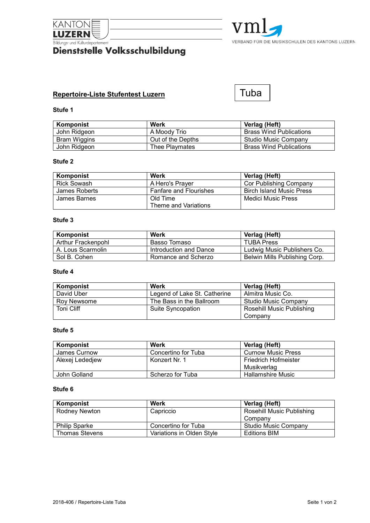

# **Bildungs-und Kulturdepartement**<br>Dienststelle Volksschulbildung



# **Repertoire-Liste Stufentest Luzern**

# Tuba

# **Stufe 1**

| Komponist    | Werk              | Verlag (Heft)                  |
|--------------|-------------------|--------------------------------|
| John Ridgeon | A Moody Trio      | <b>Brass Wind Publications</b> |
| Bram Wiggins | Out of the Depths | Studio Music Company           |
| John Ridgeon | Thee Playmates    | <b>Brass Wind Publications</b> |

### **Stufe 2**

| Komponist          | Werk                          | Verlag (Heft)                   |
|--------------------|-------------------------------|---------------------------------|
| <b>Rick Sowash</b> | A Hero's Praver               | Cor Publishing Company          |
| James Roberts      | <b>Fanfare and Flourishes</b> | <b>Birch Island Music Press</b> |
| James Barnes       | Old Time                      | Medici Music Press              |
|                    | Theme and Variations          |                                 |

#### **Stufe 3**

| Komponist          | Werk                   | Verlag (Heft)                 |
|--------------------|------------------------|-------------------------------|
| Arthur Frackenpohl | Basso Tomaso           | <b>TUBA Press</b>             |
| A. Lous Scarmolin  | Introduction and Dance | Ludwig Music Publishers Co.   |
| Sol B. Cohen       | Romance and Scherzo    | Belwin Mills Publishing Corp. |

# **Stufe 4**

| Komponist   | Werk                         | Verlag (Heft)             |
|-------------|------------------------------|---------------------------|
| David Uber  | Legend of Lake St. Catherine | Almitra Music Co.         |
| Rov Newsome | The Bass in the Ballroom     | Studio Music Company      |
| Toni Cliff  | Suite Syncopation            | Rosehill Music Publishing |
|             |                              | Company                   |

# **Stufe 5**

| Komponist       | Werk                | Verlag (Heft)             |
|-----------------|---------------------|---------------------------|
| James Curnow    | Concertino for Tuba | <b>Curnow Music Press</b> |
| Alexej Lededjew | Konzert Nr. 1       | Friedrich Hofmeister      |
|                 |                     | Musikverlag               |
| John Golland    | Scherzo for Tuba    | Hallamshire Music         |

#### **Stufe 6**

| Komponist             | Werk                      | Verlag (Heft)             |
|-----------------------|---------------------------|---------------------------|
| Rodney Newton         | Capriccio                 | Rosehill Music Publishing |
|                       |                           | Company                   |
| <b>Philip Sparke</b>  | Concertino for Tuba       | Studio Music Company      |
| <b>Thomas Stevens</b> | Variations in Olden Style | <b>Editions BIM</b>       |